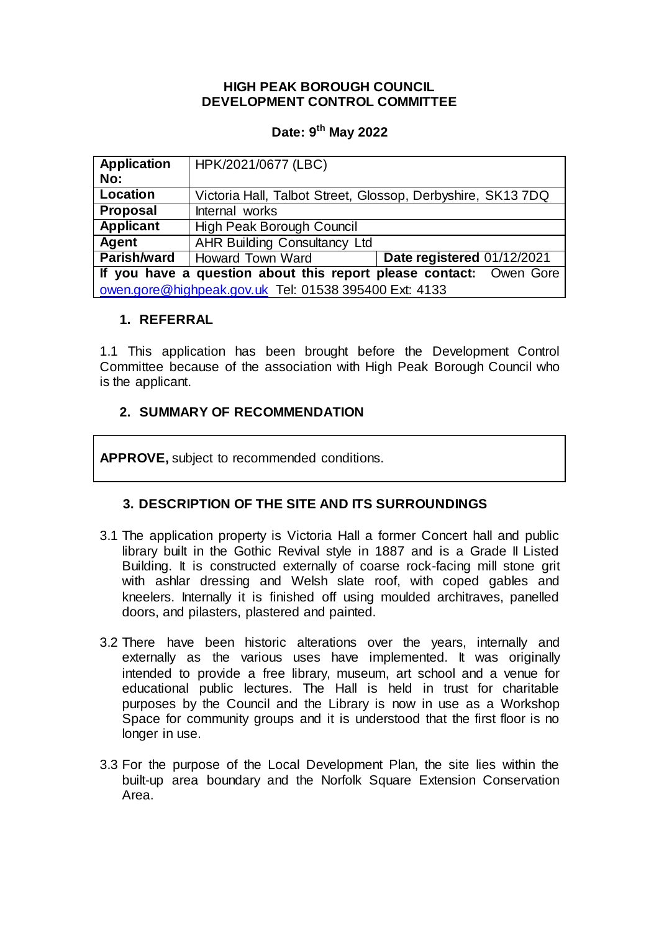### **HIGH PEAK BOROUGH COUNCIL DEVELOPMENT CONTROL COMMITTEE**

# **Date: 9 th May 2022**

| <b>Application</b><br>No:                                          | HPK/2021/0677 (LBC)                                        |                            |
|--------------------------------------------------------------------|------------------------------------------------------------|----------------------------|
| Location                                                           | Victoria Hall, Talbot Street, Glossop, Derbyshire, SK137DQ |                            |
| <b>Proposal</b>                                                    | Internal works                                             |                            |
| <b>Applicant</b>                                                   | High Peak Borough Council                                  |                            |
| Agent                                                              | <b>AHR Building Consultancy Ltd</b>                        |                            |
| Parish/ward                                                        | Howard Town Ward                                           | Date registered 01/12/2021 |
| If you have a question about this report please contact: Owen Gore |                                                            |                            |
| owen.gore@highpeak.gov.uk Tel: 01538 395400 Ext: 4133              |                                                            |                            |

## **1. REFERRAL**

1.1 This application has been brought before the Development Control Committee because of the association with High Peak Borough Council who is the applicant.

## **2. SUMMARY OF RECOMMENDATION**

**APPROVE,** subject to recommended conditions.

# **3. DESCRIPTION OF THE SITE AND ITS SURROUNDINGS**

- 3.1 The application property is Victoria Hall a former Concert hall and public library built in the Gothic Revival style in 1887 and is a Grade II Listed Building. It is constructed externally of coarse rock-facing mill stone grit with ashlar dressing and Welsh slate roof, with coped gables and kneelers. Internally it is finished off using moulded architraves, panelled doors, and pilasters, plastered and painted.
- 3.2 There have been historic alterations over the years, internally and externally as the various uses have implemented. It was originally intended to provide a free library, museum, art school and a venue for educational public lectures. The Hall is held in trust for charitable purposes by the Council and the Library is now in use as a Workshop Space for community groups and it is understood that the first floor is no longer in use.
- 3.3 For the purpose of the Local Development Plan, the site lies within the built-up area boundary and the Norfolk Square Extension Conservation Area.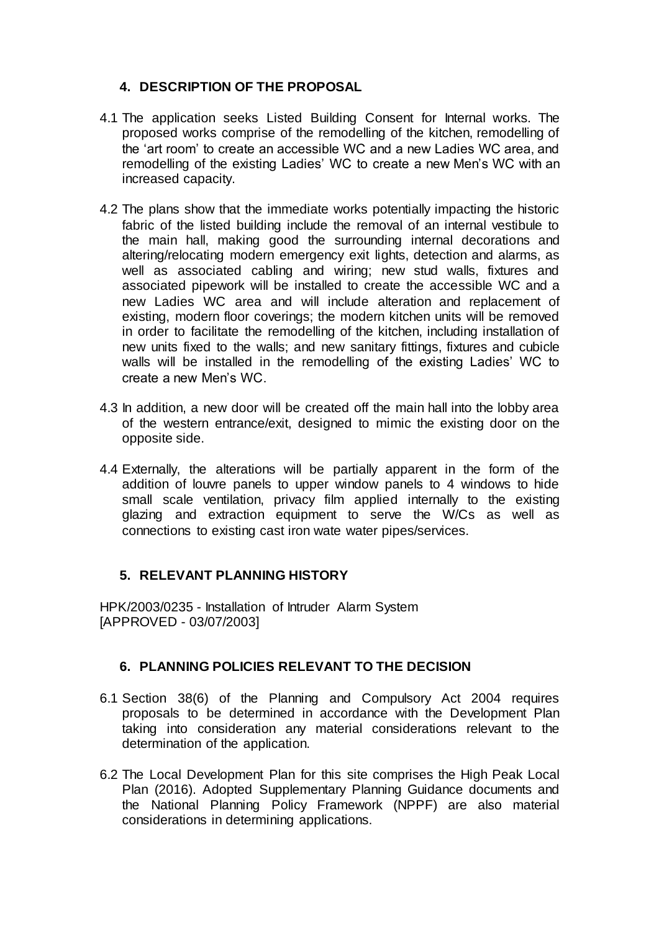# **4. DESCRIPTION OF THE PROPOSAL**

- 4.1 The application seeks Listed Building Consent for Internal works. The proposed works comprise of the remodelling of the kitchen, remodelling of the 'art room' to create an accessible WC and a new Ladies WC area, and remodelling of the existing Ladies' WC to create a new Men's WC with an increased capacity.
- 4.2 The plans show that the immediate works potentially impacting the historic fabric of the listed building include the removal of an internal vestibule to the main hall, making good the surrounding internal decorations and altering/relocating modern emergency exit lights, detection and alarms, as well as associated cabling and wiring; new stud walls, fixtures and associated pipework will be installed to create the accessible WC and a new Ladies WC area and will include alteration and replacement of existing, modern floor coverings; the modern kitchen units will be removed in order to facilitate the remodelling of the kitchen, including installation of new units fixed to the walls; and new sanitary fittings, fixtures and cubicle walls will be installed in the remodelling of the existing Ladies' WC to create a new Men's WC.
- 4.3 In addition, a new door will be created off the main hall into the lobby area of the western entrance/exit, designed to mimic the existing door on the opposite side.
- 4.4 Externally, the alterations will be partially apparent in the form of the addition of louvre panels to upper window panels to 4 windows to hide small scale ventilation, privacy film applied internally to the existing glazing and extraction equipment to serve the W/Cs as well as connections to existing cast iron wate water pipes/services.

# **5. RELEVANT PLANNING HISTORY**

HPK/2003/0235 - Installation of Intruder Alarm System [APPROVED - 03/07/2003]

# **6. PLANNING POLICIES RELEVANT TO THE DECISION**

- 6.1 Section 38(6) of the Planning and Compulsory Act 2004 requires proposals to be determined in accordance with the Development Plan taking into consideration any material considerations relevant to the determination of the application.
- 6.2 The Local Development Plan for this site comprises the High Peak Local Plan (2016). Adopted Supplementary Planning Guidance documents and the National Planning Policy Framework (NPPF) are also material considerations in determining applications.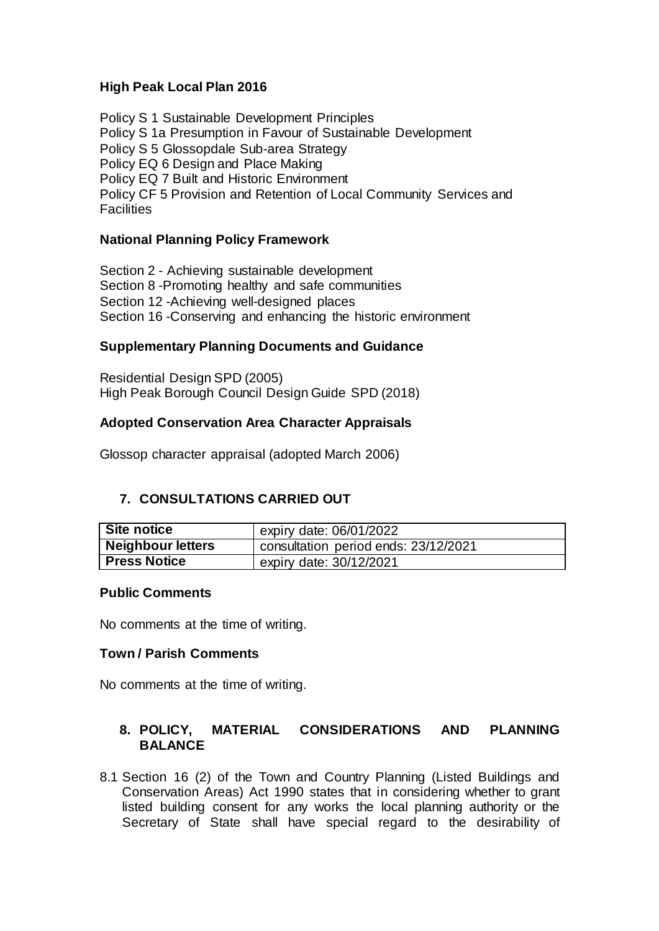## **High Peak Local Plan 2016**

Policy S 1 Sustainable Development Principles Policy S 1a Presumption in Favour of Sustainable Development Policy S 5 Glossopdale Sub-area Strategy Policy EQ 6 Design and Place Making Policy EQ 7 Built and Historic Environment Policy CF 5 Provision and Retention of Local Community Services and **Facilities** 

### **National Planning Policy Framework**

Section 2 - Achieving sustainable development Section 8 -Promoting healthy and safe communities Section 12 -Achieving well-designed places Section 16 -Conserving and enhancing the historic environment

### **Supplementary Planning Documents and Guidance**

Residential Design SPD (2005) High Peak Borough Council Design Guide SPD (2018)

#### **Adopted Conservation Area Character Appraisals**

Glossop character appraisal (adopted March 2006)

# **7. CONSULTATIONS CARRIED OUT**

| Site notice              | expiry date: 06/01/2022              |  |
|--------------------------|--------------------------------------|--|
| <b>Neighbour letters</b> | consultation period ends: 23/12/2021 |  |
| <b>Press Notice</b>      | expiry date: 30/12/2021              |  |

#### **Public Comments**

No comments at the time of writing.

#### **Town / Parish Comments**

No comments at the time of writing.

## **8. POLICY, MATERIAL CONSIDERATIONS AND PLANNING BALANCE**

8.1 Section 16 (2) of the Town and Country Planning (Listed Buildings and Conservation Areas) Act 1990 states that in considering whether to grant listed building consent for any works the local planning authority or the Secretary of State shall have special regard to the desirability of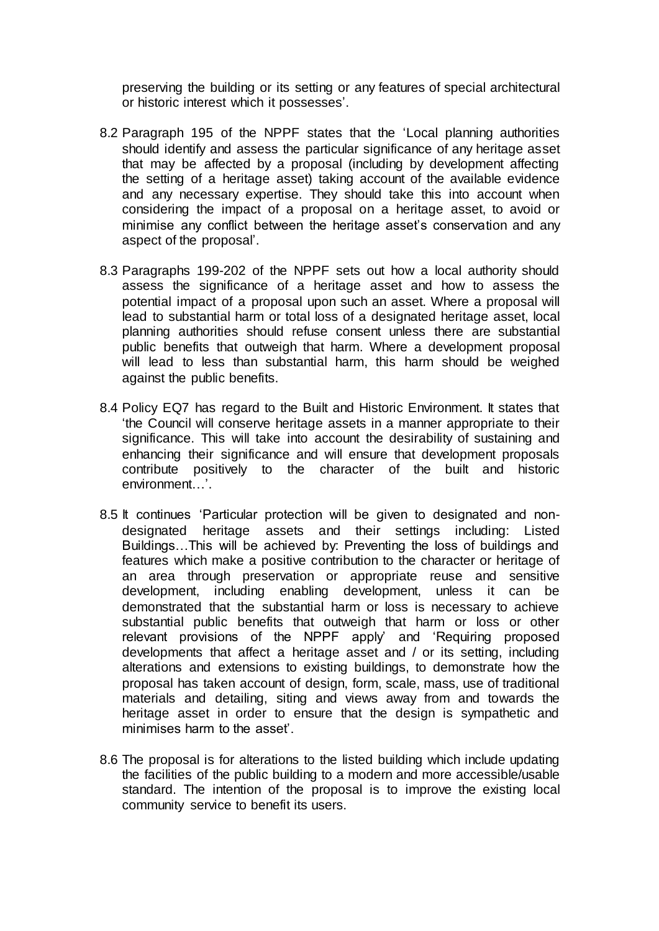preserving the building or its setting or any features of special architectural or historic interest which it possesses'.

- 8.2 Paragraph 195 of the NPPF states that the 'Local planning authorities should identify and assess the particular significance of any heritage asset that may be affected by a proposal (including by development affecting the setting of a heritage asset) taking account of the available evidence and any necessary expertise. They should take this into account when considering the impact of a proposal on a heritage asset, to avoid or minimise any conflict between the heritage asset's conservation and any aspect of the proposal'.
- 8.3 Paragraphs 199-202 of the NPPF sets out how a local authority should assess the significance of a heritage asset and how to assess the potential impact of a proposal upon such an asset. Where a proposal will lead to substantial harm or total loss of a designated heritage asset, local planning authorities should refuse consent unless there are substantial public benefits that outweigh that harm. Where a development proposal will lead to less than substantial harm, this harm should be weighed against the public benefits.
- 8.4 Policy EQ7 has regard to the Built and Historic Environment. It states that 'the Council will conserve heritage assets in a manner appropriate to their significance. This will take into account the desirability of sustaining and enhancing their significance and will ensure that development proposals contribute positively to the character of the built and historic environment…'.
- 8.5 It continues 'Particular protection will be given to designated and nondesignated heritage assets and their settings including: Listed Buildings…This will be achieved by: Preventing the loss of buildings and features which make a positive contribution to the character or heritage of an area through preservation or appropriate reuse and sensitive development, including enabling development, unless it can be demonstrated that the substantial harm or loss is necessary to achieve substantial public benefits that outweigh that harm or loss or other relevant provisions of the NPPF apply' and 'Requiring proposed developments that affect a heritage asset and / or its setting, including alterations and extensions to existing buildings, to demonstrate how the proposal has taken account of design, form, scale, mass, use of traditional materials and detailing, siting and views away from and towards the heritage asset in order to ensure that the design is sympathetic and minimises harm to the asset'.
- 8.6 The proposal is for alterations to the listed building which include updating the facilities of the public building to a modern and more accessible/usable standard. The intention of the proposal is to improve the existing local community service to benefit its users.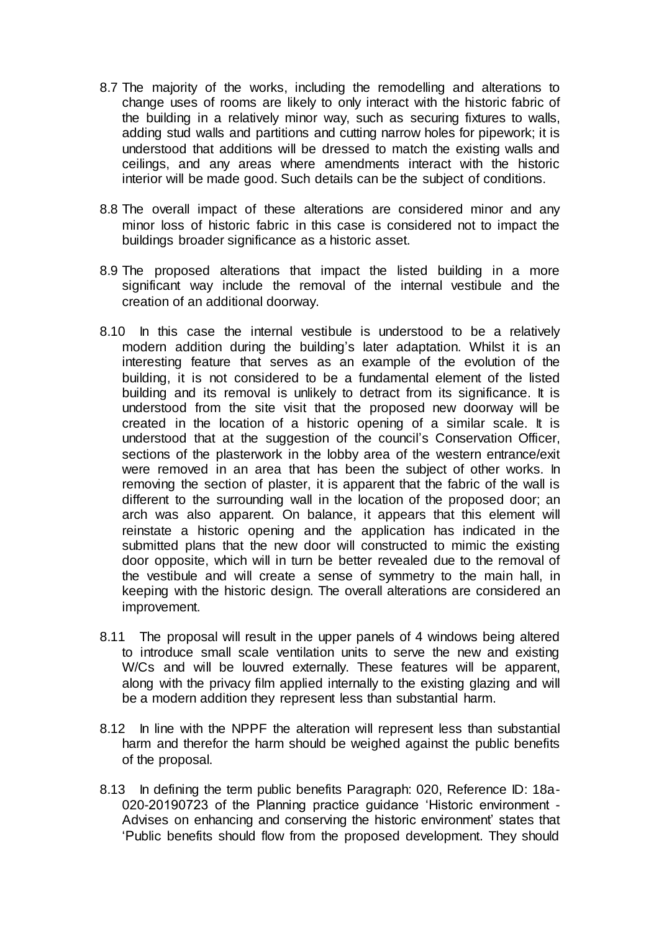- 8.7 The majority of the works, including the remodelling and alterations to change uses of rooms are likely to only interact with the historic fabric of the building in a relatively minor way, such as securing fixtures to walls, adding stud walls and partitions and cutting narrow holes for pipework; it is understood that additions will be dressed to match the existing walls and ceilings, and any areas where amendments interact with the historic interior will be made good. Such details can be the subject of conditions.
- 8.8 The overall impact of these alterations are considered minor and any minor loss of historic fabric in this case is considered not to impact the buildings broader significance as a historic asset.
- 8.9 The proposed alterations that impact the listed building in a more significant way include the removal of the internal vestibule and the creation of an additional doorway.
- 8.10 In this case the internal vestibule is understood to be a relatively modern addition during the building's later adaptation. Whilst it is an interesting feature that serves as an example of the evolution of the building, it is not considered to be a fundamental element of the listed building and its removal is unlikely to detract from its significance. It is understood from the site visit that the proposed new doorway will be created in the location of a historic opening of a similar scale. It is understood that at the suggestion of the council's Conservation Officer, sections of the plasterwork in the lobby area of the western entrance/exit were removed in an area that has been the subject of other works. In removing the section of plaster, it is apparent that the fabric of the wall is different to the surrounding wall in the location of the proposed door; an arch was also apparent. On balance, it appears that this element will reinstate a historic opening and the application has indicated in the submitted plans that the new door will constructed to mimic the existing door opposite, which will in turn be better revealed due to the removal of the vestibule and will create a sense of symmetry to the main hall, in keeping with the historic design. The overall alterations are considered an improvement.
- 8.11 The proposal will result in the upper panels of 4 windows being altered to introduce small scale ventilation units to serve the new and existing W/Cs and will be louvred externally. These features will be apparent, along with the privacy film applied internally to the existing glazing and will be a modern addition they represent less than substantial harm.
- 8.12 In line with the NPPF the alteration will represent less than substantial harm and therefor the harm should be weighed against the public benefits of the proposal.
- 8.13 In defining the term public benefits Paragraph: 020, Reference ID: 18a-020-20190723 of the Planning practice guidance 'Historic environment - Advises on enhancing and conserving the historic environment' states that 'Public benefits should flow from the proposed development. They should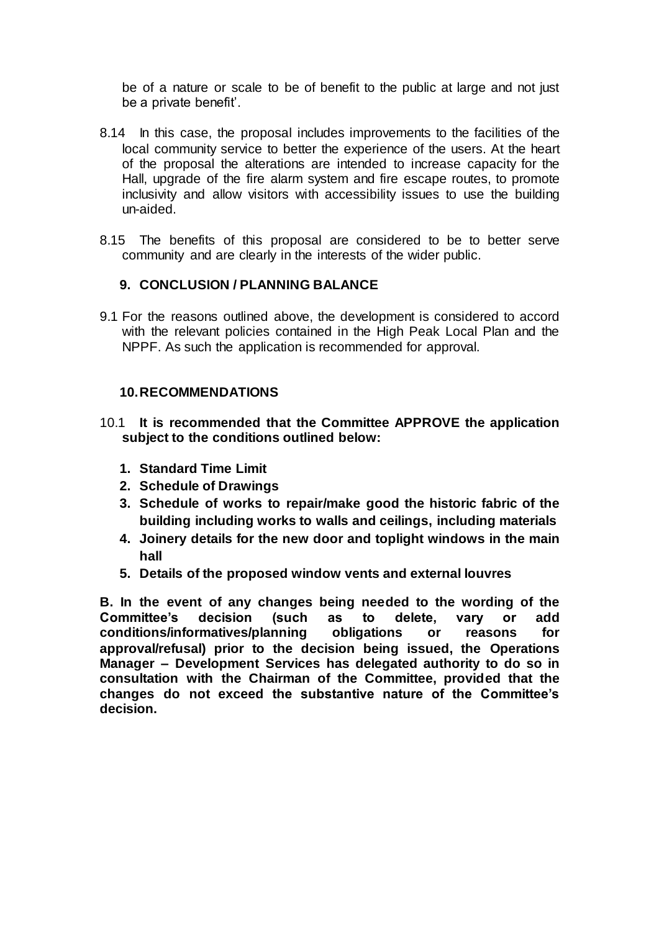be of a nature or scale to be of benefit to the public at large and not just be a private benefit'.

- 8.14 In this case, the proposal includes improvements to the facilities of the local community service to better the experience of the users. At the heart of the proposal the alterations are intended to increase capacity for the Hall, upgrade of the fire alarm system and fire escape routes, to promote inclusivity and allow visitors with accessibility issues to use the building un-aided.
- 8.15 The benefits of this proposal are considered to be to better serve community and are clearly in the interests of the wider public.

## **9. CONCLUSION / PLANNING BALANCE**

9.1 For the reasons outlined above, the development is considered to accord with the relevant policies contained in the High Peak Local Plan and the NPPF. As such the application is recommended for approval.

### **10.RECOMMENDATIONS**

- 10.1 **It is recommended that the Committee APPROVE the application subject to the conditions outlined below:**
	- **1. Standard Time Limit**
	- **2. Schedule of Drawings**
	- **3. Schedule of works to repair/make good the historic fabric of the building including works to walls and ceilings, including materials**
	- **4. Joinery details for the new door and toplight windows in the main hall**
	- **5. Details of the proposed window vents and external louvres**

**B. In the event of any changes being needed to the wording of the Committee's decision (such as to delete, vary or add conditions/informatives/planning obligations or reasons for approval/refusal) prior to the decision being issued, the Operations Manager – Development Services has delegated authority to do so in consultation with the Chairman of the Committee, provided that the changes do not exceed the substantive nature of the Committee's decision.**